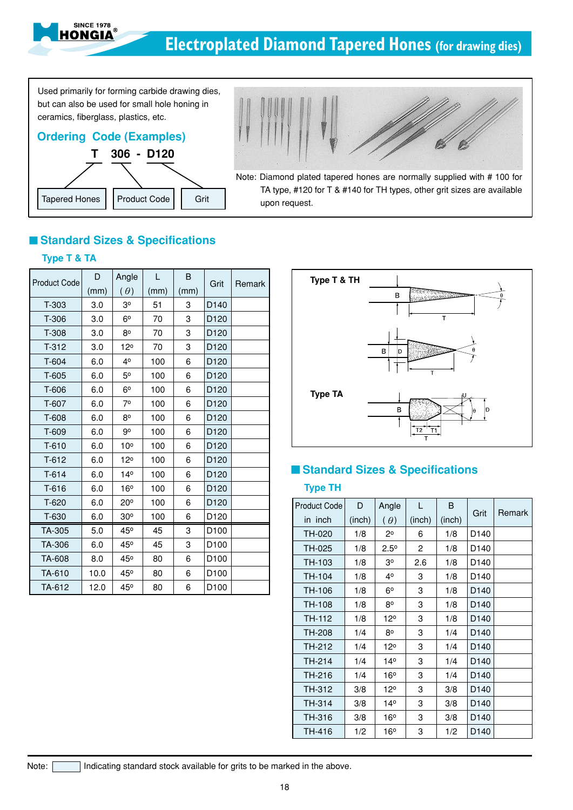

Used primarily for forming carbide drawing dies, but can also be used for small hole honing in ceramics, fiberglass, plastics, etc.

**SINCE 1978** IONGIA





## **Standard Sizes & Specifications**

## **Type T & TA**

| <b>Product Code</b> | D    | Angle           | L    | В    | Grit             | Remark |
|---------------------|------|-----------------|------|------|------------------|--------|
|                     | (mm) | $(\theta)$      | (mm) | (mm) |                  |        |
| T-303               | 3.0  | 30              | 51   | 3    | D <sub>140</sub> |        |
| T-306               | 3.0  | 6 <sup>o</sup>  | 70   | 3    | D <sub>120</sub> |        |
| T-308               | 3.0  | 80              | 70   | 3    | D <sub>120</sub> |        |
| $T-312$             | 3.0  | 12°             | 70   | 3    | D <sub>120</sub> |        |
| T-604               | 6.0  | 40              | 100  | 6    | D120             |        |
| T-605               | 6.0  | 50              | 100  | 6    | D <sub>120</sub> |        |
| T-606               | 6.0  | $6^{\circ}$     | 100  | 6    | D120             |        |
| T-607               | 6.0  | 70              | 100  | 6    | D <sub>120</sub> |        |
| T-608               | 6.0  | 80              | 100  | 6    | D120             |        |
| T-609               | 6.0  | g٥              | 100  | 6    | D120             |        |
| $T-610$             | 6.0  | 10 <sup>o</sup> | 100  | 6    | D120             |        |
| $T-612$             | 6.0  | $12^{\circ}$    | 100  | 6    | D <sub>120</sub> |        |
| $T-614$             | 6.0  | 14 <sup>°</sup> | 100  | 6    | D <sub>120</sub> |        |
| T-616               | 6.0  | 16°             | 100  | 6    | D <sub>120</sub> |        |
| T-620               | 6.0  | $20^{\circ}$    | 100  | 6    | D120             |        |
| T-630               | 6.0  | 30°             | 100  | 6    | D120             |        |
| TA-305              | 5.0  | 45°             | 45   | 3    | D <sub>100</sub> |        |
| TA-306              | 6.0  | 45°             | 45   | 3    | D <sub>100</sub> |        |
| TA-608              | 8.0  | 45°             | 80   | 6    | D <sub>100</sub> |        |
| TA-610              | 10.0 | 45°             | 80   | 6    | D <sub>100</sub> |        |
| TA-612              | 12.0 | 45°             | 80   | 6    | D <sub>100</sub> |        |



## ■ Standard Sizes & Specifications

## **Type TH**

| <b>Product Code</b> | D      | Angle           | L              | B      | Grit             | Remark |
|---------------------|--------|-----------------|----------------|--------|------------------|--------|
| in inch             | (inch) | $(\theta)$      | (inch)         | (inch) |                  |        |
| TH-020              | 1/8    | 2٥              | 6              | 1/8    | D <sub>140</sub> |        |
| TH-025              | 1/8    | $2.5^\circ$     | $\overline{c}$ | 1/8    | D140             |        |
| TH-103              | 1/8    | З°              | 2.6            | 1/8    | D <sub>140</sub> |        |
| TH-104              | 1/8    | 4°              | 3              | 1/8    | D <sub>140</sub> |        |
| TH-106              | 1/8    | $6^{\circ}$     | 3              | 1/8    | D140             |        |
| TH-108              | 1/8    | 80              | 3              | 1/8    | D <sub>140</sub> |        |
| TH-112              | 1/8    | 12°             | 3              | 1/8    | D <sub>140</sub> |        |
| <b>TH-208</b>       | 1/4    | $8^{\circ}$     | 3              | 1/4    | D <sub>140</sub> |        |
| TH-212              | 1/4    | 12°             | 3              | 1/4    | D <sub>140</sub> |        |
| TH-214              | 1/4    | 14°             | 3              | 1/4    | D <sub>140</sub> |        |
| TH-216              | 1/4    | 16°             | 3              | 1/4    | D <sub>140</sub> |        |
| TH-312              | 3/8    | 12°             | 3              | 3/8    | D <sub>140</sub> |        |
| TH-314              | 3/8    | 14 <sup>°</sup> | 3              | 3/8    | D <sub>140</sub> |        |
| TH-316              | 3/8    | 16°             | 3              | 3/8    | D <sub>140</sub> |        |
| TH-416              | 1/2    | 16°             | 3              | 1/2    | D140             |        |

Note: Indicating standard stock available for grits to be marked in the above.